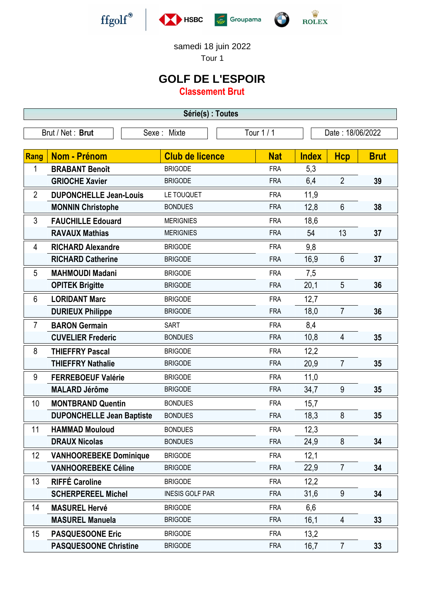

-

-







samedi 18 juin 2022

Tour 1

## **GOLF DE L'ESPOIR**

**Classement Brut**

**Série(s) : Toutes** Brut / Net : **Brut** Sexe : Mixte Tour 1 / 1 Date : 18/06/2022 **Rang Nom - Prénom Club de licence Nat Index Hcp Brut** 1 **BRABANT Benoît BRIGODE** FRA 5,3 GRIOCHE Xavier
BRIGODE
FRA
6,4
2
39
<br>
39
<br>
39
<br>
39 **CRIOCHE Xavier
<br>
39

<b>CRIOCHE** 2 **DUPONCHELLE Jean-Louis** LE TOUQUET FRA 11,9 **MONNIN Christophe** BONDUES FRA 12,8 6 38 - 3 **FAUCHILLE Edouard** MERIGNIES FRA 18,6 **RAVAUX Mathias** MERIGNIES FRA 54 13 37 4 **RICHARD Alexandre** BRIGODE FRA 9,8 **RICHARD Catherine** BRIGODE FRA 16,9 6 **37** - 5 **MAHMOUDI Madani** BRIGODE FRA 7,5 **OPITEK Brigitte BRIGODE FRA** 20,1 5 36 - 6 **LORIDANT Marc** BRIGODE FRA 12,7 **DURIEUX Philippe** BRIGODE BRIGODE FRA 18,0 7 36 **7 BARON Germain** SART SART FRA 8.4 **CUVELIER Frederic** BONDUES FRA 10,8 4 **35** - 8 **THIEFFRY Pascal** BRIGODE **FRA** 12.2 **THIEFFRY Nathalie** BRIGODE FRA 20,9 7 **35** 9 **FERREBOEUF Valérie** BRIGODE FRA 11,0 **MALARD Jérôme** BRIGODE FRA 34,7 9 **35** - 10 **MONTBRAND Quentin** BONDUES FRA 15,7 **DUPONCHELLE Jean Baptiste** BONDUES FRA 18,3 8 35 11 **HAMMAD Mouloud** BONDUES FRA 12,3 **DRAUX Nicolas** BONDUES FRA 24,9 8 **34** 12 **VANHOOREBEKE Dominique** BRIGODE FRA 12,1

**VANHOOREBEKE Céline** BRIGODE FRA 22,9 7 **34**

**SCHERPEREEL Michel** INESIS GOLF PAR FRA 31,6 9 **34**

**MASUREL Manuela** BRIGODE FRA 16,1 4 **33**

**PASQUESOONE Christine** BRIGODE FRA 16,7 7 33

13 **RIFFÉ Caroline** BRIGODE FRA 12,2

14 **MASUREL Hervé** BRIGODE FRA 6,6

15 **PASQUESOONE Eric** BRIGODE FRA 13,2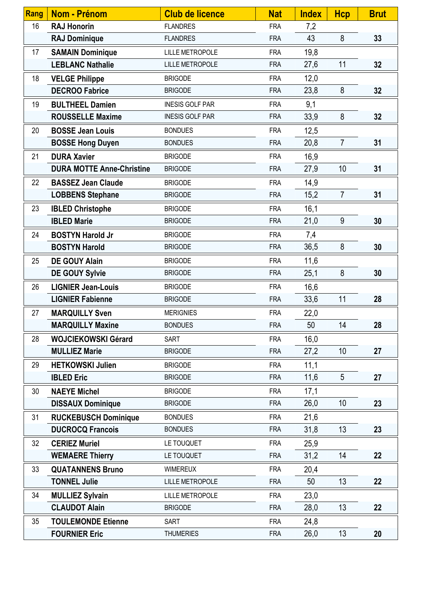| Rang | <b>Nom - Prénom</b>              | <b>Club de licence</b> | <b>Nat</b> | <b>Index</b> | Hcp            | <b>Brut</b> |
|------|----------------------------------|------------------------|------------|--------------|----------------|-------------|
| 16   | <b>RAJ Honorin</b>               | <b>FLANDRES</b>        | <b>FRA</b> | 7,2          |                |             |
|      | <b>RAJ Dominique</b>             | <b>FLANDRES</b>        | <b>FRA</b> | 43           | 8              | 33          |
| 17   | <b>SAMAIN Dominique</b>          | <b>LILLE METROPOLE</b> | <b>FRA</b> | 19,8         |                |             |
|      | <b>LEBLANC Nathalie</b>          | <b>LILLE METROPOLE</b> | <b>FRA</b> | 27,6         | 11             | 32          |
| 18   | <b>VELGE Philippe</b>            | <b>BRIGODE</b>         | <b>FRA</b> | 12,0         |                |             |
|      | <b>DECROO Fabrice</b>            | <b>BRIGODE</b>         | <b>FRA</b> | 23,8         | 8              | 32          |
| 19   | <b>BULTHEEL Damien</b>           | <b>INESIS GOLF PAR</b> | <b>FRA</b> | 9,1          |                |             |
|      | <b>ROUSSELLE Maxime</b>          | <b>INESIS GOLF PAR</b> | <b>FRA</b> | 33,9         | 8              | 32          |
| 20   | <b>BOSSE Jean Louis</b>          | <b>BONDUES</b>         | <b>FRA</b> | 12,5         |                |             |
|      | <b>BOSSE Hong Duyen</b>          | <b>BONDUES</b>         | <b>FRA</b> | 20,8         | $\overline{7}$ | 31          |
| 21   | <b>DURA Xavier</b>               | <b>BRIGODE</b>         | <b>FRA</b> | 16,9         |                |             |
|      | <b>DURA MOTTE Anne-Christine</b> | <b>BRIGODE</b>         | <b>FRA</b> | 27,9         | 10             | 31          |
| 22   | <b>BASSEZ Jean Claude</b>        | <b>BRIGODE</b>         | <b>FRA</b> | 14,9         |                |             |
|      | <b>LOBBENS Stephane</b>          | <b>BRIGODE</b>         | <b>FRA</b> | 15,2         | $\overline{7}$ | 31          |
| 23   | <b>IBLED Christophe</b>          | <b>BRIGODE</b>         | <b>FRA</b> | 16,1         |                |             |
|      | <b>IBLED Marie</b>               | <b>BRIGODE</b>         | <b>FRA</b> | 21,0         | 9              | 30          |
| 24   | <b>BOSTYN Harold Jr</b>          | <b>BRIGODE</b>         | <b>FRA</b> | 7,4          |                |             |
|      | <b>BOSTYN Harold</b>             | <b>BRIGODE</b>         | <b>FRA</b> | 36,5         | 8              | 30          |
| 25   | <b>DE GOUY Alain</b>             | <b>BRIGODE</b>         | <b>FRA</b> | 11,6         |                |             |
|      | DE GOUY Sylvie                   | <b>BRIGODE</b>         | <b>FRA</b> | 25,1         | 8              | 30          |
| 26   | <b>LIGNIER Jean-Louis</b>        | <b>BRIGODE</b>         | <b>FRA</b> | 16,6         |                |             |
|      | <b>LIGNIER Fabienne</b>          | <b>BRIGODE</b>         | <b>FRA</b> | 33,6         | 11             | 28          |
| 27   | <b>MARQUILLY Sven</b>            | <b>MERIGNIES</b>       | <b>FRA</b> | 22,0         |                |             |
|      | <b>MARQUILLY Maxine</b>          | <b>BONDUES</b>         | <b>FRA</b> | 50           | 14             | 28          |
| 28   | <b>WOJCIEKOWSKI Gérard</b>       | <b>SART</b>            | <b>FRA</b> | 16,0         |                |             |
|      | <b>MULLIEZ Marie</b>             | <b>BRIGODE</b>         | <b>FRA</b> | 27,2         | 10             | 27          |
| 29   | <b>HETKOWSKI Julien</b>          | <b>BRIGODE</b>         | <b>FRA</b> | 11,1         |                |             |
|      | <b>IBLED Eric</b>                | <b>BRIGODE</b>         | <b>FRA</b> | 11,6         | 5              | 27          |
| 30   | <b>NAEYE Michel</b>              | <b>BRIGODE</b>         | <b>FRA</b> | 17,1         |                |             |
|      | <b>DISSAUX Dominique</b>         | <b>BRIGODE</b>         | <b>FRA</b> | 26,0         | 10             | 23          |
| 31   | <b>RUCKEBUSCH Dominique</b>      | <b>BONDUES</b>         | <b>FRA</b> | 21,6         |                |             |
|      | <b>DUCROCQ Francois</b>          | <b>BONDUES</b>         | <b>FRA</b> | 31,8         | 13             | 23          |
| 32   | <b>CERIEZ Muriel</b>             | LE TOUQUET             | <b>FRA</b> | 25,9         |                |             |
|      | <b>WEMAERE Thierry</b>           | LE TOUQUET             | <b>FRA</b> | 31,2         | 14             | 22          |
| 33   | <b>QUATANNENS Bruno</b>          | <b>WIMEREUX</b>        | <b>FRA</b> | 20,4         |                |             |
|      | <b>TONNEL Julie</b>              | <b>LILLE METROPOLE</b> | <b>FRA</b> | 50           | 13             | 22          |
| 34   | <b>MULLIEZ Sylvain</b>           | <b>LILLE METROPOLE</b> | <b>FRA</b> | 23,0         |                |             |
|      | <b>CLAUDOT Alain</b>             | <b>BRIGODE</b>         | <b>FRA</b> | 28,0         | 13             | 22          |
| 35   | <b>TOULEMONDE Etienne</b>        | <b>SART</b>            | <b>FRA</b> | 24,8         |                |             |
|      | <b>FOURNIER Eric</b>             | <b>THUMERIES</b>       | <b>FRA</b> | 26,0         | 13             | 20          |